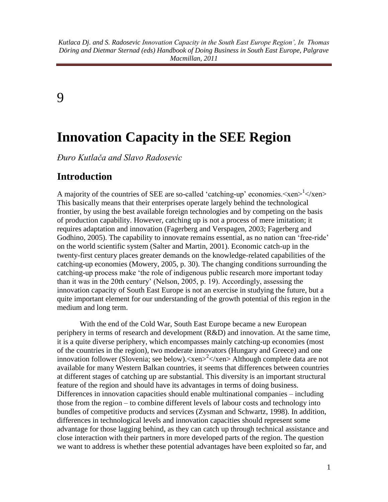9

# **Innovation Capacity in the SEE Region**

*Đuro Kutlača and Slavo Radosevic*

### **Introduction**

A majority of the countries of SEE are so-called 'catching-up' economies. $\langle xen \rangle^1 \langle xen \rangle$ This basically means that their enterprises operate largely behind the technological frontier, by using the best available foreign technologies and by competing on the basis of production capability. However, catching up is not a process of mere imitation; it requires adaptation and innovation (Fagerberg and Verspagen, 2003; Fagerberg and Godhino, 2005). The capability to innovate remains essential, as no nation can 'free-ride' on the world scientific system (Salter and Martin, 2001). Economic catch-up in the twenty-first century places greater demands on the knowledge-related capabilities of the catching-up economies (Mowery, 2005, p. 30). The changing conditions surrounding the catching-up process make 'the role of indigenous public research more important today than it was in the 20th century' (Nelson, 2005, p. 19). Accordingly, assessing the innovation capacity of South East Europe is not an exercise in studying the future, but a quite important element for our understanding of the growth potential of this region in the medium and long term.

With the end of the Cold War, South East Europe became a new European periphery in terms of research and development (R&D) and innovation. At the same time, it is a quite diverse periphery, which encompasses mainly catching-up economies (most of the countries in the region), two moderate innovators (Hungary and Greece) and one innovation follower (Slovenia; see below).<xen><sup>2</sup></xen> Although complete data are not available for many Western Balkan countries, it seems that differences between countries at different stages of catching up are substantial. This diversity is an important structural feature of the region and should have its advantages in terms of doing business. Differences in innovation capacities should enable multinational companies – including those from the region – to combine different levels of labour costs and technology into bundles of competitive products and services (Zysman and Schwartz, 1998). In addition, differences in technological levels and innovation capacities should represent some advantage for those lagging behind, as they can catch up through technical assistance and close interaction with their partners in more developed parts of the region. The question we want to address is whether these potential advantages have been exploited so far, and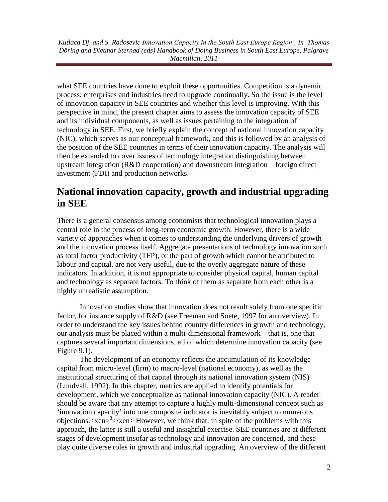what SEE countries have done to exploit these opportunities. Competition is a dynamic process; enterprises and industries need to upgrade continually. So the issue is the level of innovation capacity in SEE countries and whether this level is improving. With this perspective in mind, the present chapter aims to assess the innovation capacity of SEE and its individual components, as well as issues pertaining to the integration of technology in SEE. First, we briefly explain the concept of national innovation capacity (NIC), which serves as our conceptual framework, and this is followed by an analysis of the position of the SEE countries in terms of their innovation capacity. The analysis will then be extended to cover issues of technology integration distinguishing between upstream integration (R&D cooperation) and downstream integration – foreign direct investment (FDI) and production networks.

### **National innovation capacity, growth and industrial upgrading in SEE**

There is a general consensus among economists that technological innovation plays a central role in the process of long-term economic growth. However, there is a wide variety of approaches when it comes to understanding the underlying drivers of growth and the innovation process itself. Aggregate presentations of technology innovation such as total factor productivity (TFP), or the part of growth which cannot be attributed to labour and capital, are not very useful, due to the overly aggregate nature of these indicators. In addition, it is not appropriate to consider physical capital, human capital and technology as separate factors. To think of them as separate from each other is a highly unrealistic assumption.

Innovation studies show that innovation does not result solely from one specific factor, for instance supply of R&D (see Freeman and Soete, 1997 for an overview). In order to understand the key issues behind country differences in growth and technology, our analysis must be placed within a multi-dimensional framework – that is, one that captures several important dimensions, all of which determine innovation capacity (see Figure 9.1).

The development of an economy reflects the accumulation of its knowledge capital from micro-level (firm) to macro-level (national economy), as well as the institutional structuring of that capital through its national innovation system (NIS) (Lundvall, 1992). In this chapter, metrics are applied to identify potentials for development, which we conceptualize as national innovation capacity (NIC). A reader should be aware that any attempt to capture a highly multi-dimensional concept such as 'innovation capacity' into one composite indicator is inevitably subject to numerous objections.  $\langle x \rangle^3 \langle x \rangle$  However, we think that, in spite of the problems with this approach, the latter is still a useful and insightful exercise. SEE countries are at different stages of development insofar as technology and innovation are concerned, and these play quite diverse roles in growth and industrial upgrading. An overview of the different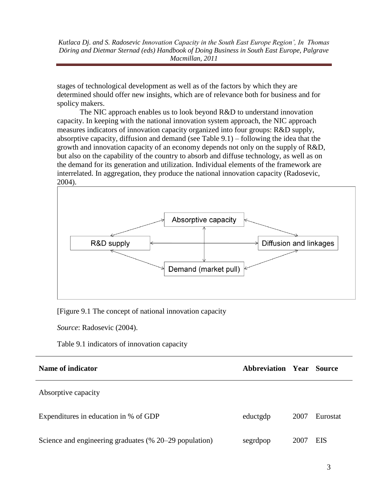*Kutlaca Dj. and S. Radosevic Innovation Capacity in the South East Europe Region', In Thomas Döring and Dietmar Sternad (eds) Handbook of Doing Business in South East Europe, Palgrave Macmillan, 2011*

stages of technological development as well as of the factors by which they are determined should offer new insights, which are of relevance both for business and for spolicy makers.

The NIC approach enables us to look beyond R&D to understand innovation capacity. In keeping with the national innovation system approach, the NIC approach measures indicators of innovation capacity organized into four groups: R&D supply, absorptive capacity, diffusion and demand (see Table 9.1) – following the idea that the growth and innovation capacity of an economy depends not only on the supply of R&D, but also on the capability of the country to absorb and diffuse technology, as well as on the demand for its generation and utilization. Individual elements of the framework are interrelated. In aggregation, they produce the national innovation capacity (Radosevic, 2004).



[Figure 9.1 The concept of national innovation capacity

*Source*: Radosevic (2004).

| Name of indicator                                      | <b>Abbreviation Year Source</b> |      |          |
|--------------------------------------------------------|---------------------------------|------|----------|
| Absorptive capacity                                    |                                 |      |          |
| Expenditures in education in % of GDP                  | eductgdp                        | 2007 | Eurostat |
| Science and engineering graduates (% 20–29 population) | segrdpop                        | 2007 | EIS      |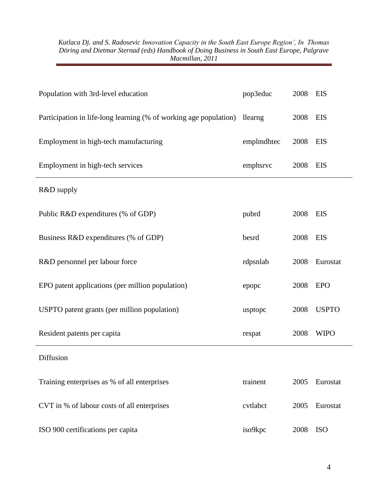| Population with 3rd-level education                               | pop3educ   | 2008 | EIS          |
|-------------------------------------------------------------------|------------|------|--------------|
| Participation in life-long learning (% of working age population) | llearng    | 2008 | <b>EIS</b>   |
| Employment in high-tech manufacturing                             | emplmdhtec | 2008 | EIS          |
| Employment in high-tech services                                  | emphsrvc   | 2008 | <b>EIS</b>   |
| R&D supply                                                        |            |      |              |
| Public R&D expenditures (% of GDP)                                | pubrd      | 2008 | <b>EIS</b>   |
| Business R&D expenditures (% of GDP)                              | besrd      | 2008 | <b>EIS</b>   |
| R&D personnel per labour force                                    | rdpsnlab   | 2008 | Eurostat     |
| EPO patent applications (per million population)                  | epopc      | 2008 | <b>EPO</b>   |
| USPTO patent grants (per million population)                      | usptopc    | 2008 | <b>USPTO</b> |
| Resident patents per capita                                       | respat     | 2008 | <b>WIPO</b>  |
| Diffusion                                                         |            |      |              |
| Training enterprises as % of all enterprises                      | trainent   | 2005 | Eurostat     |
| CVT in % of labour costs of all enterprises                       | cvtlabct   | 2005 | Eurostat     |
| ISO 900 certifications per capita                                 | iso9kpc    | 2008 | <b>ISO</b>   |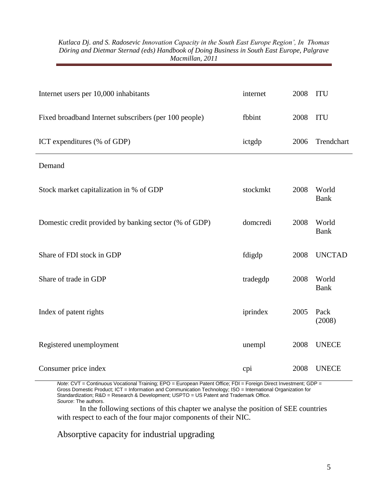| Internet users per 10,000 inhabitants                 | internet | 2008 | <b>ITU</b>           |
|-------------------------------------------------------|----------|------|----------------------|
| Fixed broadband Internet subscribers (per 100 people) | fbbint   | 2008 | <b>ITU</b>           |
| ICT expenditures (% of GDP)                           | ictgdp   | 2006 | Trendchart           |
| Demand                                                |          |      |                      |
| Stock market capitalization in % of GDP               | stockmkt | 2008 | World<br><b>Bank</b> |
| Domestic credit provided by banking sector (% of GDP) | domcredi | 2008 | World<br><b>Bank</b> |
| Share of FDI stock in GDP                             | fdigdp   | 2008 | <b>UNCTAD</b>        |
| Share of trade in GDP                                 | tradegdp | 2008 | World<br><b>Bank</b> |
| Index of patent rights                                | iprindex | 2005 | Pack<br>(2008)       |
| Registered unemployment                               | unempl   | 2008 | <b>UNECE</b>         |
| Consumer price index                                  | cpi      | 2008 | <b>UNECE</b>         |

*Note*: CVT = Continuous Vocational Training; EPO = European Patent Office; FDI = Foreign Direct Investment; GDP = Gross Domestic Product; ICT = Information and Communication Technology; ISO = International Organization for Standardization; R&D = Research & Development; USPTO = US Patent and Trademark Office. *Source*: The authors.

In the following sections of this chapter we analyse the position of SEE countries with respect to each of the four major components of their NIC.

Absorptive capacity for industrial upgrading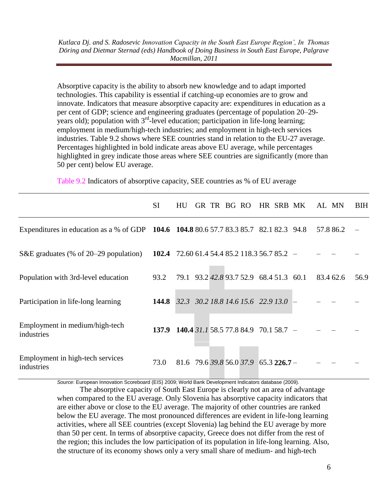Absorptive capacity is the ability to absorb new knowledge and to adapt imported technologies. This capability is essential if catching-up economies are to grow and innovate. Indicators that measure absorptive capacity are: expenditures in education as a per cent of GDP; science and engineering graduates (percentage of population 20–29 years old); population with  $3<sup>rd</sup>$ -level education; participation in life-long learning; employment in medium/high-tech industries; and employment in high-tech services industries. Table 9.2 shows where SEE countries stand in relation to the EU-27 average. Percentages highlighted in bold indicate areas above EU average, while percentages highlighted in grey indicate those areas where SEE countries are significantly (more than 50 per cent) below EU average.

|                                                                                        | <b>SI</b>                                      | HU | GR TR BG RO |                                    | HR SRB MK                               |  | AL MN     | <b>BIH</b> |
|----------------------------------------------------------------------------------------|------------------------------------------------|----|-------------|------------------------------------|-----------------------------------------|--|-----------|------------|
| Expenditures in education as a % of GDP 104.6 104.8 80.6 57.7 83.3 85.7 82.1 82.3 94.8 |                                                |    |             |                                    |                                         |  | 57.8 86.2 |            |
| S&E graduates (% of $20-29$ population)                                                | 102.4 72.60 61.4 54.4 85.2 118.3 56.7 85.2 $-$ |    |             |                                    |                                         |  |           |            |
| Population with 3rd-level education                                                    | 93.2                                           |    |             |                                    | 79.1 93.2 42.8 93.7 52.9 68.4 51.3 60.1 |  | 83.4 62.6 | 56.9       |
| Participation in life-long learning                                                    | 144.8                                          |    |             | 32.3 30.2 18.8 14.6 15.6 22.9 13.0 |                                         |  |           |            |
| Employment in medium/high-tech<br>industries                                           | 137.9                                          |    |             |                                    | $140.4$ 31.1 58.5 77.8 84.9 70.1 58.7 - |  |           |            |
| Employment in high-tech services<br>industries                                         | 73.0                                           |    |             |                                    | 81.6 79.6 39.8 56.0 37.9 65.3 226.7 -   |  |           |            |

Table 9.2 Indicators of absorptive capacity, SEE countries as % of EU average

*Source*: European Innovation Scoreboard (EIS) 2009; World Bank Development Indicators database (2009).

The absorptive capacity of South East Europe is clearly not an area of advantage when compared to the EU average. Only Slovenia has absorptive capacity indicators that are either above or close to the EU average. The majority of other countries are ranked below the EU average. The most pronounced differences are evident in life-long learning activities, where all SEE countries (except Slovenia) lag behind the EU average by more than 50 per cent. In terms of absorptive capacity, Greece does not differ from the rest of the region; this includes the low participation of its population in life-long learning. Also, the structure of its economy shows only a very small share of medium- and high-tech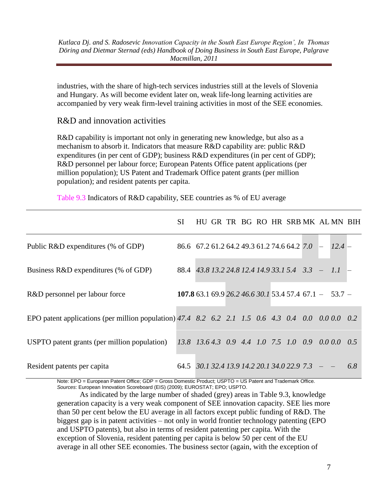industries, with the share of high-tech services industries still at the levels of Slovenia and Hungary. As will become evident later on, weak life-long learning activities are accompanied by very weak firm-level training activities in most of the SEE economies.

#### R&D and innovation activities

R&D capability is important not only in generating new knowledge, but also as a mechanism to absorb it. Indicators that measure R&D capability are: public R&D expenditures (in per cent of GDP); business R&D expenditures (in per cent of GDP); R&D personnel per labour force; European Patents Office patent applications (per million population); US Patent and Trademark Office patent grants (per million population); and resident patents per capita.

|                                                                                                   | SI                                                                                                |  |  |  |  | HU GR TR BG RO HR SRB MK ALMN BIH |     |
|---------------------------------------------------------------------------------------------------|---------------------------------------------------------------------------------------------------|--|--|--|--|-----------------------------------|-----|
| Public R&D expenditures (% of GDP)                                                                | 86.6 67.2 61.2 64.2 49.3 61.2 74.6 64.2 7.0 - $12.4$                                              |  |  |  |  |                                   |     |
| Business R&D expenditures (% of GDP)                                                              | 88.4 $\begin{array}{cccc} 43.8 & 13.2 & 24.8 & 12.4 & 14.9 & 33.1 & 5.4 & 3.3 & -1.1 \end{array}$ |  |  |  |  |                                   |     |
| R&D personnel per labour force                                                                    | 107.8 63.1 69.9 26.2 46.6 30.1 53.4 57.4 67.1 - 53.7 -                                            |  |  |  |  |                                   |     |
| EPO patent applications (per million population) 47.4 8.2 6.2 2.1 1.5 0.6 4.3 0.4 0.0 0.0 0.0 0.2 |                                                                                                   |  |  |  |  |                                   |     |
| USPTO patent grants (per million population)                                                      | 13.8 13.6 4.3 0.9 4.4 1.0 7.5 1.0 0.9 0.0 0.0 0.5                                                 |  |  |  |  |                                   |     |
| Resident patents per capita                                                                       | $64.5$ $30.1$ $32.4$ $13.9$ $14.2$ $20.1$ $34.0$ $22.9$ $7.3$ $-$                                 |  |  |  |  |                                   | 6.8 |

Table 9.3 Indicators of R&D capability, SEE countries as % of EU average

Note: EPO = European Patent Office; GDP = Gross Domestic Product; USPTO = US Patent and Trademark Office. *Sources*: European Innovation Scoreboard (EIS) (2009); EUROSTAT; EPO; USPTO.

As indicated by the large number of shaded (grey) areas in Table 9.3, knowledge generation capacity is a very weak component of SEE innovation capacity. SEE lies more than 50 per cent below the EU average in all factors except public funding of R&D. The biggest gap is in patent activities – not only in world frontier technology patenting (EPO and USPTO patents), but also in terms of resident patenting per capita. With the exception of Slovenia, resident patenting per capita is below 50 per cent of the EU average in all other SEE economies. The business sector (again, with the exception of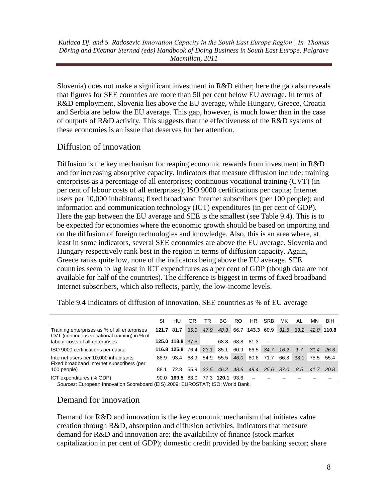Slovenia) does not make a significant investment in R&D either; here the gap also reveals that figures for SEE countries are more than 50 per cent below EU average. In terms of R&D employment, Slovenia lies above the EU average, while Hungary, Greece, Croatia and Serbia are below the EU average. This gap, however, is much lower than in the case of outputs of R&D activity. This suggests that the effectiveness of the R&D systems of these economies is an issue that deserves further attention.

#### Diffusion of innovation

Diffusion is the key mechanism for reaping economic rewards from investment in R&D and for increasing absorptive capacity. Indicators that measure diffusion include: training enterprises as a percentage of all enterprises; continuous vocational training (CVT) (in per cent of labour costs of all enterprises); ISO 9000 certifications per capita; Internet users per 10,000 inhabitants; fixed broadband Internet subscribers (per 100 people); and information and communication technology (ICT) expenditures (in per cent of GDP). Here the gap between the EU average and SEE is the smallest (see Table 9.4). This is to be expected for economies where the economic growth should be based on importing and on the diffusion of foreign technologies and knowledge. Also, this is an area where, at least in some indicators, several SEE economies are above the EU average. Slovenia and Hungary respectively rank best in the region in terms of diffusion capacity. Again, Greece ranks quite low, none of the indicators being above the EU average. SEE countries seem to lag least in ICT expenditures as a per cent of GDP (though data are not available for half of the countries). The difference is biggest in terms of fixed broadband Internet subscribers, which also reflects, partly, the low-income levels.

|                                                                                                                                                                                                                                                                                                                                                                         | SI   | HU                | GR        | TR   | BG                                        | RO.       | HR.  | <b>SRB</b> | МK   | AL   | ΜN        | BIH       |
|-------------------------------------------------------------------------------------------------------------------------------------------------------------------------------------------------------------------------------------------------------------------------------------------------------------------------------------------------------------------------|------|-------------------|-----------|------|-------------------------------------------|-----------|------|------------|------|------|-----------|-----------|
| Training enterprises as % of all enterprises<br>CVT (continuous vocational training) in % of                                                                                                                                                                                                                                                                            |      | 121.7 81.7        | 35.0      | 47.9 | 48.3 66.7 143.3 60.9 31.6 33.2 42.0 110.8 |           |      |            |      |      |           |           |
| labour costs of all enterprises                                                                                                                                                                                                                                                                                                                                         |      | 125.0 118.8 37.5  |           |      | 68.8                                      | 68.8 81.3 |      |            |      |      |           |           |
| ISO 9000 certifications per capita                                                                                                                                                                                                                                                                                                                                      |      | 116.8 125.8 76.4  |           | 23.1 | 85.1                                      | 60.9      | 66.5 | 34.7       | 16.2 | 1.7  |           | 31.4 26.3 |
| Internet users per 10,000 inhabitants                                                                                                                                                                                                                                                                                                                                   | 88.9 |                   | 93.4 68.9 | 54.9 | 55.5                                      | 46.0      | 80.6 | 71.7       | 66.3 | 38.1 | 75.5 55.4 |           |
| Fixed broadband Internet subscribers (per<br>100 people)                                                                                                                                                                                                                                                                                                                | 88.1 | 72.8              |           |      | 55.9 32.5 46.2 48.6 49.4 25.6 37.0        |           |      |            |      | -8.5 | 41.7      | 20.8      |
| ICT expenditures (% GDP)<br>$\circ$ $\qquad$ $\qquad$ $\qquad$ $\qquad$ $\qquad$ $\qquad$ $\qquad$ $\qquad$ $\qquad$ $\qquad$ $\qquad$ $\qquad$ $\qquad$ $\qquad$ $\qquad$ $\qquad$ $\qquad$ $\qquad$ $\qquad$ $\qquad$ $\qquad$ $\qquad$ $\qquad$ $\qquad$ $\qquad$ $\qquad$ $\qquad$ $\qquad$ $\qquad$ $\qquad$ $\qquad$ $\qquad$ $\qquad$ $\qquad$ $\qquad$ $\qquad$ | 90.0 | <b>169.5</b> 83.0 |           | 77.3 | 120.1                                     | 93.6      |      |            |      |      |           |           |

Table 9.4 Indicators of diffusion of innovation, SEE countries as % of EU average

*Sources*: European Innovation Scoreboard (EIS) 2009; EUROSTAT; ISO; World Bank.

#### Demand for innovation

Demand for R&D and innovation is the key economic mechanism that initiates value creation through R&D, absorption and diffusion activities. Indicators that measure demand for R&D and innovation are: the availability of finance (stock market capitalization in per cent of GDP); domestic credit provided by the banking sector; share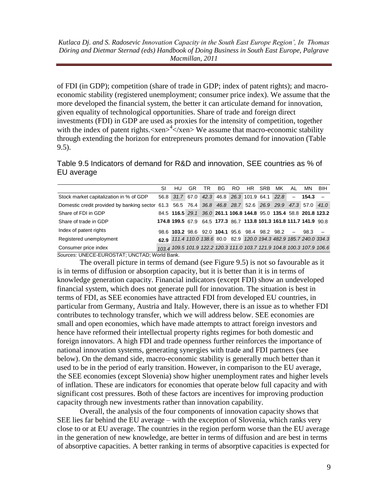of FDI (in GDP); competition (share of trade in GDP; index of patent rights); and macroeconomic stability (registered unemployment; consumer price index). We assume that the more developed the financial system, the better it can articulate demand for innovation, given equality of technological opportunities. Share of trade and foreign direct investments (FDI) in GDP are used as proxies for the intensity of competition, together with the index of patent rights.  $\langle x \rangle$   $\langle x \rangle$  = We assume that macro-economic stability through extending the horizon for entrepreneurs promotes demand for innovation (Table  $9.5$ ).

Table 9.5 Indicators of demand for R&D and innovation, SEE countries as % of EU average

|                                                                                                        | SI |  |  |  | HU GR TR BG RO HR SRB MK AL MN BIH                                      |  |  |
|--------------------------------------------------------------------------------------------------------|----|--|--|--|-------------------------------------------------------------------------|--|--|
| Stock market capitalization in % of GDP                                                                |    |  |  |  | 56.8 31.7 67.0 42.3 46.8 26.3 101.9 64.1 22.8 - 154.3 -                 |  |  |
| Domestic credit provided by banking sector 61.3 56.5 76.4 36.8 46.8 28.7 52.6 26.9 29.9 47.3 57.0 41.0 |    |  |  |  |                                                                         |  |  |
| Share of FDI in GDP                                                                                    |    |  |  |  | 84.5 116.5 29.1 36.0 261.1 106.8 144.8 95.0 135.4 58.8 201.8 123.2      |  |  |
| Share of trade in GDP                                                                                  |    |  |  |  | 174.8 199.5 67.9 64.5 177.3 86.7 113.8 101.3 161.8 111.7 141.9 90.8     |  |  |
| Index of patent rights                                                                                 |    |  |  |  | 98.6 103.2 98.6 92.0 104.1 95.6 98.4 98.2 98.2 - 98.3 -                 |  |  |
| Registered unemployment                                                                                |    |  |  |  | 62.9 111.4 110.0 138.6 80.0 82.9 120.0 194.3 482.9 185.7 240.0 334.3    |  |  |
| Consumer price index                                                                                   |    |  |  |  | 103.4 109.5 101.9 122.2 120.3 111.0 103.7 121.9 104.8 100.3 107.9 106.6 |  |  |

*Sources*: UNECE-EUROSTAT; UNCTAD; World Bank.

The overall picture in terms of demand (see Figure 9.5) is not so favourable as it is in terms of diffusion or absorption capacity, but it is better than it is in terms of knowledge generation capacity. Financial indicators (except FDI) show an undeveloped financial system, which does not generate pull for innovation. The situation is best in terms of FDI, as SEE economies have attracted FDI from developed EU countries, in particular from Germany, Austria and Italy. However, there is an issue as to whether FDI contributes to technology transfer, which we will address below. SEE economies are small and open economies, which have made attempts to attract foreign investors and hence have reformed their intellectual property rights regimes for both domestic and foreign innovators. A high FDI and trade openness further reinforces the importance of national innovation systems, generating synergies with trade and FDI partners (see below). On the demand side, macro-economic stability is generally much better than it used to be in the period of early transition. However, in comparison to the EU average, the SEE economies (except Slovenia) show higher unemployment rates and higher levels of inflation. These are indicators for economies that operate below full capacity and with significant cost pressures. Both of these factors are incentives for improving production capacity through new investments rather than innovation capability.

Overall, the analysis of the four components of innovation capacity shows that SEE lies far behind the EU average – with the exception of Slovenia, which ranks very close to or at EU average. The countries in the region perform worse than the EU average in the generation of new knowledge, are better in terms of diffusion and are best in terms of absorptive capacities. A better ranking in terms of absorptive capacities is expected for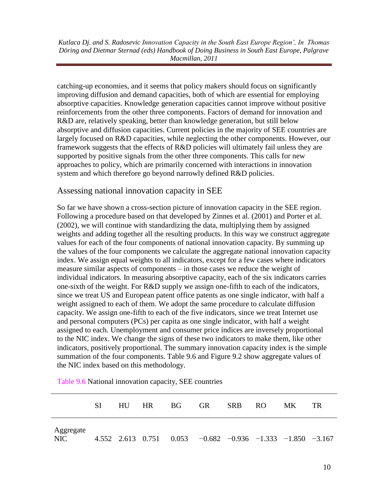catching-up economies, and it seems that policy makers should focus on significantly improving diffusion and demand capacities, both of which are essential for employing absorptive capacities. Knowledge generation capacities cannot improve without positive reinforcements from the other three components. Factors of demand for innovation and R&D are, relatively speaking, better than knowledge generation, but still below absorptive and diffusion capacities. Current policies in the majority of SEE countries are largely focused on R&D capacities, while neglecting the other components. However, our framework suggests that the effects of R&D policies will ultimately fail unless they are supported by positive signals from the other three components. This calls for new approaches to policy, which are primarily concerned with interactions in innovation system and which therefore go beyond narrowly defined R&D policies.

#### Assessing national innovation capacity in SEE

So far we have shown a cross-section picture of innovation capacity in the SEE region. Following a procedure based on that developed by Zinnes et al. (2001) and Porter et al. (2002), we will continue with standardizing the data, multiplying them by assigned weights and adding together all the resulting products. In this way we construct aggregate values for each of the four components of national innovation capacity. By summing up the values of the four components we calculate the aggregate national innovation capacity index. We assign equal weights to all indicators, except for a few cases where indicators measure similar aspects of components – in those cases we reduce the weight of individual indicators. In measuring absorptive capacity, each of the six indicators carries one-sixth of the weight. For R&D supply we assign one-fifth to each of the indicators, since we treat US and European patent office patents as one single indicator, with half a weight assigned to each of them. We adopt the same procedure to calculate diffusion capacity. We assign one-fifth to each of the five indicators, since we treat Internet use and personal computers (PCs) per capita as one single indicator, with half a weight assigned to each. Unemployment and consumer price indices are inversely proportional to the NIC index. We change the signs of these two indicators to make them, like other indicators, positively proportional. The summary innovation capacity index is the simple summation of the four components. Table 9.6 and Figure 9.2 show aggregate values of the NIC index based on this methodology.

Table 9.6 National innovation capacity, SEE countries

|                         | HU HR | BG GR SRB RO |  | MK.                                                        | TR. |
|-------------------------|-------|--------------|--|------------------------------------------------------------|-----|
| Aggregate<br><b>NIC</b> |       |              |  | 4.552 2.613 0.751 0.053 -0.682 -0.936 -1.333 -1.850 -3.167 |     |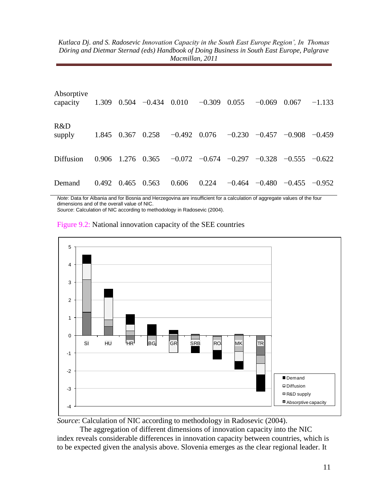| Absorptive<br>capacity 1.309 0.504 $-0.434$ 0.010 $-0.309$ |       |             |                                                                             |       | 0.055 | $-0.069$          | 0.067             | $-1.133$ |
|------------------------------------------------------------|-------|-------------|-----------------------------------------------------------------------------|-------|-------|-------------------|-------------------|----------|
| R&D<br>supply                                              |       | 1.845 0.367 | $0.258$ $-0.492$ $0.076$ $-0.230$ $-0.457$ $-0.908$ $-0.459$                |       |       |                   |                   |          |
| <b>Diffusion</b>                                           |       |             | $0.906$ 1.276 $0.365$ $-0.072$ $-0.674$ $-0.297$ $-0.328$ $-0.555$ $-0.622$ |       |       |                   |                   |          |
| Demand                                                     | 0.492 | 0.465 0.563 | 0.606                                                                       | 0.224 |       | $-0.464$ $-0.480$ | $-0.455$ $-0.952$ |          |

*Note*: Data for Albania and for Bosnia and Herzegovina are insufficient for a calculation of aggregate values of the four dimensions and of the overall value of NIC.

*Source*: Calculation of NIC according to methodology in Radosevic (2004).





*Source*: Calculation of NIC according to methodology in Radosevic (2004).

The aggregation of different dimensions of innovation capacity into the NIC index reveals considerable differences in innovation capacity between countries, which is to be expected given the analysis above. Slovenia emerges as the clear regional leader. It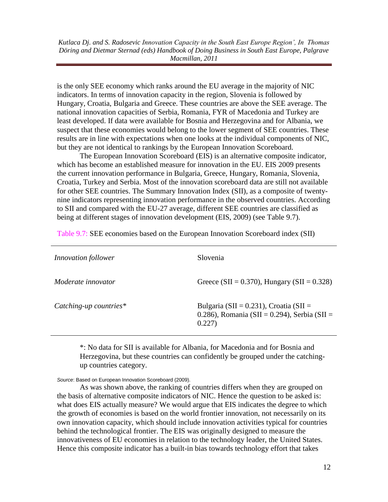is the only SEE economy which ranks around the EU average in the majority of NIC indicators. In terms of innovation capacity in the region, Slovenia is followed by Hungary, Croatia, Bulgaria and Greece. These countries are above the SEE average. The national innovation capacities of Serbia, Romania, FYR of Macedonia and Turkey are least developed. If data were available for Bosnia and Herzegovina and for Albania, we suspect that these economies would belong to the lower segment of SEE countries. These results are in line with expectations when one looks at the individual components of NIC, but they are not identical to rankings by the European Innovation Scoreboard.

The European Innovation Scoreboard (EIS) is an alternative composite indicator, which has become an established measure for innovation in the EU. EIS 2009 presents the current innovation performance in Bulgaria, Greece, Hungary, Romania, Slovenia, Croatia, Turkey and Serbia. Most of the innovation scoreboard data are still not available for other SEE countries. The Summary Innovation Index (SII), as a composite of twentynine indicators representing innovation performance in the observed countries. According to SII and compared with the EU-27 average, different SEE countries are classified as being at different stages of innovation development (EIS, 2009) (see Table 9.7).

| <i>Innovation follower</i> | Slovenia                                                                                            |
|----------------------------|-----------------------------------------------------------------------------------------------------|
| Moderate innovator         | Greece (SII = $0.370$ ), Hungary (SII = $0.328$ )                                                   |
| Catching-up countries $*$  | Bulgaria (SII = $0.231$ ), Croatia (SII =<br>0.286), Romania (SII = 0.294), Serbia (SII =<br>0.227) |

Table 9.7: SEE economies based on the European Innovation Scoreboard index (SII)

\*: No data for SII is available for Albania, for Macedonia and for Bosnia and Herzegovina, but these countries can confidently be grouped under the catchingup countries category.

*Source*: Based on European Innovation Scoreboard (2009).

As was shown above, the ranking of countries differs when they are grouped on the basis of alternative composite indicators of NIC. Hence the question to be asked is: what does EIS actually measure? We would argue that EIS indicates the degree to which the growth of economies is based on the world frontier innovation, not necessarily on its own innovation capacity, which should include innovation activities typical for countries behind the technological frontier. The EIS was originally designed to measure the innovativeness of EU economies in relation to the technology leader, the United States. Hence this composite indicator has a built-in bias towards technology effort that takes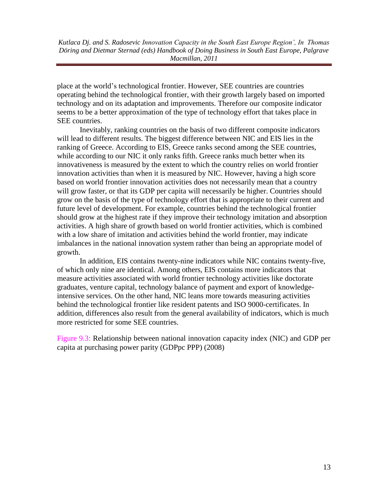place at the world's technological frontier. However, SEE countries are countries operating behind the technological frontier, with their growth largely based on imported technology and on its adaptation and improvements. Therefore our composite indicator seems to be a better approximation of the type of technology effort that takes place in SEE countries.

Inevitably, ranking countries on the basis of two different composite indicators will lead to different results. The biggest difference between NIC and EIS lies in the ranking of Greece. According to EIS, Greece ranks second among the SEE countries, while according to our NIC it only ranks fifth. Greece ranks much better when its innovativeness is measured by the extent to which the country relies on world frontier innovation activities than when it is measured by NIC. However, having a high score based on world frontier innovation activities does not necessarily mean that a country will grow faster, or that its GDP per capita will necessarily be higher. Countries should grow on the basis of the type of technology effort that is appropriate to their current and future level of development. For example, countries behind the technological frontier should grow at the highest rate if they improve their technology imitation and absorption activities. A high share of growth based on world frontier activities, which is combined with a low share of imitation and activities behind the world frontier, may indicate imbalances in the national innovation system rather than being an appropriate model of growth.

In addition, EIS contains twenty-nine indicators while NIC contains twenty-five, of which only nine are identical. Among others, EIS contains more indicators that measure activities associated with world frontier technology activities like doctorate graduates, venture capital, technology balance of payment and export of knowledgeintensive services. On the other hand, NIC leans more towards measuring activities behind the technological frontier like resident patents and ISO 9000-certificates. In addition, differences also result from the general availability of indicators, which is much more restricted for some SEE countries.

Figure 9.3: Relationship between national innovation capacity index (NIC) and GDP per capita at purchasing power parity (GDPpc PPP) (2008)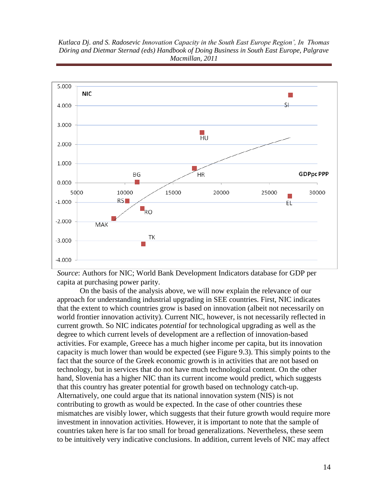*Kutlaca Dj. and S. Radosevic Innovation Capacity in the South East Europe Region', In Thomas Döring and Dietmar Sternad (eds) Handbook of Doing Business in South East Europe, Palgrave Macmillan, 2011*



*Source*: Authors for NIC; World Bank Development Indicators database for GDP per capita at purchasing power parity.

On the basis of the analysis above, we will now explain the relevance of our approach for understanding industrial upgrading in SEE countries. First, NIC indicates that the extent to which countries grow is based on innovation (albeit not necessarily on world frontier innovation activity). Current NIC, however, is not necessarily reflected in current growth. So NIC indicates *potential* for technological upgrading as well as the degree to which current levels of development are a reflection of innovation-based activities. For example, Greece has a much higher income per capita, but its innovation capacity is much lower than would be expected (see Figure 9.3). This simply points to the fact that the source of the Greek economic growth is in activities that are not based on technology, but in services that do not have much technological content. On the other hand, Slovenia has a higher NIC than its current income would predict, which suggests that this country has greater potential for growth based on technology catch-up. Alternatively, one could argue that its national innovation system (NIS) is not contributing to growth as would be expected. In the case of other countries these mismatches are visibly lower, which suggests that their future growth would require more investment in innovation activities. However, it is important to note that the sample of countries taken here is far too small for broad generalizations. Nevertheless, these seem to be intuitively very indicative conclusions. In addition, current levels of NIC may affect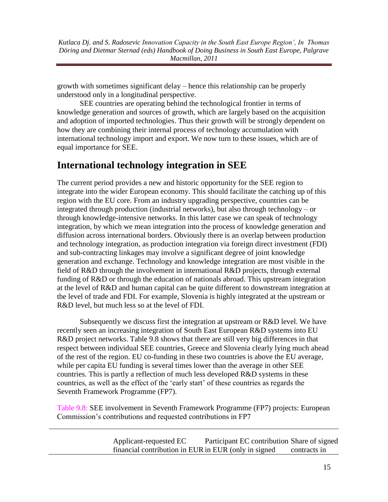growth with sometimes significant delay – hence this relationship can be properly understood only in a longitudinal perspective.

SEE countries are operating behind the technological frontier in terms of knowledge generation and sources of growth, which are largely based on the acquisition and adoption of imported technologies. Thus their growth will be strongly dependent on how they are combining their internal process of technology accumulation with international technology import and export. We now turn to these issues, which are of equal importance for SEE.

### **International technology integration in SEE**

The current period provides a new and historic opportunity for the SEE region to integrate into the wider European economy. This should facilitate the catching up of this region with the EU core. From an industry upgrading perspective, countries can be integrated through production (industrial networks), but also through technology – or through knowledge-intensive networks. In this latter case we can speak of technology integration, by which we mean integration into the process of knowledge generation and diffusion across international borders. Obviously there is an overlap between production and technology integration, as production integration via foreign direct investment (FDI) and sub-contracting linkages may involve a significant degree of joint knowledge generation and exchange. Technology and knowledge integration are most visible in the field of R&D through the involvement in international R&D projects, through external funding of R&D or through the education of nationals abroad. This upstream integration at the level of R&D and human capital can be quite different to downstream integration at the level of trade and FDI. For example, Slovenia is highly integrated at the upstream or R&D level, but much less so at the level of FDI.

Subsequently we discuss first the integration at upstream or R&D level. We have recently seen an increasing integration of South East European R&D systems into EU R&D project networks. Table 9.8 shows that there are still very big differences in that respect between individual SEE countries, Greece and Slovenia clearly lying much ahead of the rest of the region. EU co-funding in these two countries is above the EU average, while per capita EU funding is several times lower than the average in other SEE countries. This is partly a reflection of much less developed R&D systems in these countries, as well as the effect of the 'early start' of these countries as regards the Seventh Framework Programme (FP7).

Table 9.8: SEE involvement in Seventh Framework Programme (FP7) projects: European Commission's contributions and requested contributions in FP7

> Applicant-requested EC financial contribution in EUR in EUR (only in signed Participant EC contribution Share of signed contracts in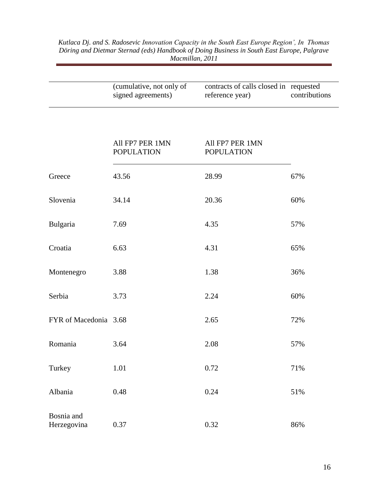|                           | (cumulative, not only of<br>signed agreements) | contracts of calls closed in requested<br>reference year) | contributions |
|---------------------------|------------------------------------------------|-----------------------------------------------------------|---------------|
|                           |                                                |                                                           |               |
|                           | All FP7 PER 1MN<br><b>POPULATION</b>           | All FP7 PER 1MN<br><b>POPULATION</b>                      |               |
| Greece                    | 43.56                                          | 28.99                                                     | 67%           |
| Slovenia                  | 34.14                                          | 20.36                                                     | 60%           |
| Bulgaria                  | 7.69                                           | 4.35                                                      | 57%           |
| Croatia                   | 6.63                                           | 4.31                                                      | 65%           |
| Montenegro                | 3.88                                           | 1.38                                                      | 36%           |
| Serbia                    | 3.73                                           | 2.24                                                      | 60%           |
| FYR of Macedonia 3.68     |                                                | 2.65                                                      | 72%           |
| Romania                   | 3.64                                           | 2.08                                                      | 57%           |
| Turkey                    | 1.01                                           | 0.72                                                      | $71\%$        |
| Albania                   | 0.48                                           | 0.24                                                      | 51%           |
| Bosnia and<br>Herzegovina | 0.37                                           | 0.32                                                      | 86%           |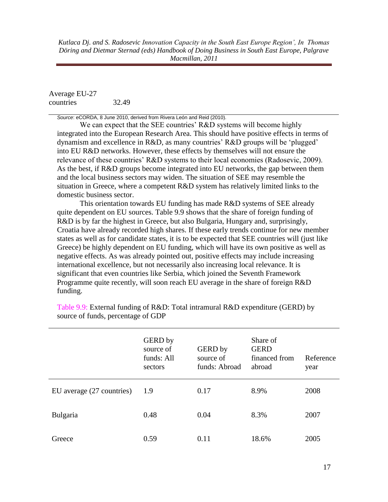Average EU-27 countries 32.49

*Source*: eCORDA, 8 June 2010, derived from Rivera León and Reid (2010).

We can expect that the SEE countries' R&D systems will become highly integrated into the European Research Area. This should have positive effects in terms of dynamism and excellence in R&D, as many countries' R&D groups will be 'plugged' into EU R&D networks. However, these effects by themselves will not ensure the relevance of these countries' R&D systems to their local economies (Radosevic, 2009). As the best, if R&D groups become integrated into EU networks, the gap between them and the local business sectors may widen. The situation of SEE may resemble the situation in Greece, where a competent R&D system has relatively limited links to the domestic business sector.

This orientation towards EU funding has made R&D systems of SEE already quite dependent on EU sources. Table 9.9 shows that the share of foreign funding of R&D is by far the highest in Greece, but also Bulgaria, Hungary and, surprisingly, Croatia have already recorded high shares. If these early trends continue for new member states as well as for candidate states, it is to be expected that SEE countries will (just like Greece) be highly dependent on EU funding, which will have its own positive as well as negative effects. As was already pointed out, positive effects may include increasing international excellence, but not necessarily also increasing local relevance. It is significant that even countries like Serbia, which joined the Seventh Framework Programme quite recently, will soon reach EU average in the share of foreign R&D funding.

|                           | GERD by<br>source of<br>funds: All<br>sectors | GERD by<br>source of<br>funds: Abroad | Share of<br><b>GERD</b><br>financed from<br>abroad | Reference<br>year |
|---------------------------|-----------------------------------------------|---------------------------------------|----------------------------------------------------|-------------------|
| EU average (27 countries) | 1.9                                           | 0.17                                  | 8.9%                                               | 2008              |
| Bulgaria                  | 0.48                                          | 0.04                                  | 8.3%                                               | 2007              |
| Greece                    | 0.59                                          | 0.11                                  | 18.6%                                              | 2005              |

Table 9.9: External funding of R&D: Total intramural R&D expenditure (GERD) by source of funds, percentage of GDP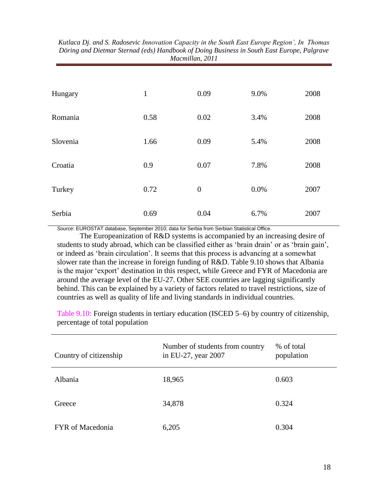| Hungary  | $\mathbf{1}$ | 0.09           | 9.0% | 2008 |
|----------|--------------|----------------|------|------|
| Romania  | 0.58         | 0.02           | 3.4% | 2008 |
| Slovenia | 1.66         | 0.09           | 5.4% | 2008 |
| Croatia  | 0.9          | 0.07           | 7.8% | 2008 |
| Turkey   | 0.72         | $\overline{0}$ | 0.0% | 2007 |
| Serbia   | 0.69         | 0.04           | 6.7% | 2007 |

*Kutlaca Dj. and S. Radosevic Innovation Capacity in the South East Europe Region', In Thomas Döring and Dietmar Sternad (eds) Handbook of Doing Business in South East Europe, Palgrave Macmillan, 2011*

*Source*: EUROSTAT database, September 2010; data for Serbia from Serbian Statistical Office.

The Europeanization of R&D systems is accompanied by an increasing desire of students to study abroad, which can be classified either as 'brain drain' or as 'brain gain', or indeed as 'brain circulation'. It seems that this process is advancing at a somewhat slower rate than the increase in foreign funding of R&D. Table 9.10 shows that Albania is the major 'export' destination in this respect, while Greece and FYR of Macedonia are around the average level of the EU-27. Other SEE countries are lagging significantly behind. This can be explained by a variety of factors related to travel restrictions, size of countries as well as quality of life and living standards in individual countries.

| Table 9.10: Foreign students in tertiary education (ISCED 5–6) by country of citizenship, |  |  |
|-------------------------------------------------------------------------------------------|--|--|
| percentage of total population                                                            |  |  |

| Country of citizenship  | Number of students from country<br>in EU-27, year 2007 | % of total<br>population |
|-------------------------|--------------------------------------------------------|--------------------------|
| Albania                 | 18,965                                                 | 0.603                    |
| Greece                  | 34,878                                                 | 0.324                    |
| <b>FYR</b> of Macedonia | 6,205                                                  | 0.304                    |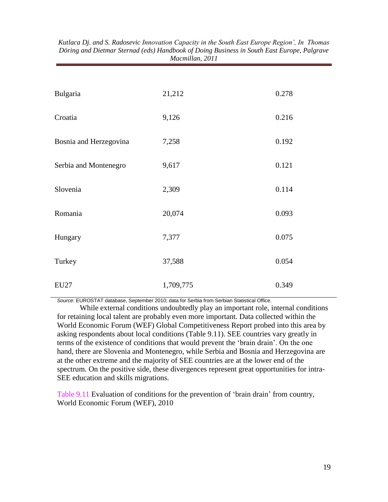| Bulgaria               | 21,212    | 0.278 |
|------------------------|-----------|-------|
| Croatia                | 9,126     | 0.216 |
| Bosnia and Herzegovina | 7,258     | 0.192 |
| Serbia and Montenegro  | 9,617     | 0.121 |
| Slovenia               | 2,309     | 0.114 |
| Romania                | 20,074    | 0.093 |
| Hungary                | 7,377     | 0.075 |
| Turkey                 | 37,588    | 0.054 |
| EU27                   | 1,709,775 | 0.349 |

*Kutlaca Dj. and S. Radosevic Innovation Capacity in the South East Europe Region', In Thomas Döring and Dietmar Sternad (eds) Handbook of Doing Business in South East Europe, Palgrave Macmillan, 2011*

*Source*: EUROSTAT database, September 2010; data for Serbia from Serbian Statistical Office.

While external conditions undoubtedly play an important role, internal conditions for retaining local talent are probably even more important. Data collected within the World Economic Forum (WEF) Global Competitiveness Report probed into this area by asking respondents about local conditions (Table 9.11). SEE countries vary greatly in terms of the existence of conditions that would prevent the 'brain drain'. On the one hand, there are Slovenia and Montenegro, while Serbia and Bosnia and Herzegovina are at the other extreme and the majority of SEE countries are at the lower end of the spectrum. On the positive side, these divergences represent great opportunities for intra-SEE education and skills migrations.

Table 9.11 Evaluation of conditions for the prevention of 'brain drain' from country, World Economic Forum (WEF), 2010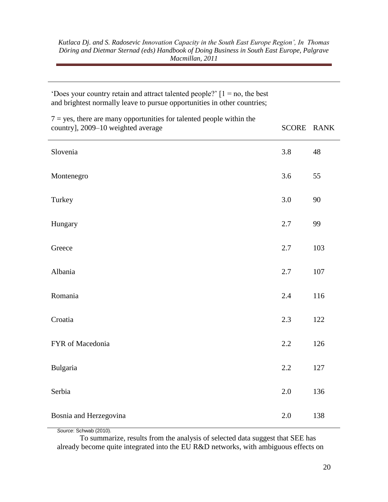| Kutlaca Dj. and S. Radosevic Innovation Capacity in the South East Europe Region', In Thomas |
|----------------------------------------------------------------------------------------------|
| Döring and Dietmar Sternad (eds) Handbook of Doing Business in South East Europe, Palgrave   |
| Macmillan, 2011                                                                              |

| 'Does your country retain and attract talented people?' $[1 = no$ , the best<br>and brightest normally leave to pursue opportunities in other countries; |              |             |
|----------------------------------------------------------------------------------------------------------------------------------------------------------|--------------|-------------|
| $7 = yes$ , there are many opportunities for talented people within the<br>country], 2009-10 weighted average                                            | <b>SCORE</b> | <b>RANK</b> |
| Slovenia                                                                                                                                                 | 3.8          | 48          |
| Montenegro                                                                                                                                               | 3.6          | 55          |
| Turkey                                                                                                                                                   | 3.0          | 90          |
| Hungary                                                                                                                                                  | 2.7          | 99          |
| Greece                                                                                                                                                   | 2.7          | 103         |
| Albania                                                                                                                                                  | 2.7          | 107         |
| Romania                                                                                                                                                  | 2.4          | 116         |
| Croatia                                                                                                                                                  | 2.3          | 122         |
| FYR of Macedonia                                                                                                                                         | 2.2          | 126         |
| Bulgaria                                                                                                                                                 | 2.2          | 127         |
| Serbia                                                                                                                                                   | $2.0\,$      | 136         |
| Bosnia and Herzegovina                                                                                                                                   | $2.0\,$      | 138         |

*Source*: Schwab (2010).

To summarize, results from the analysis of selected data suggest that SEE has already become quite integrated into the EU R&D networks, with ambiguous effects on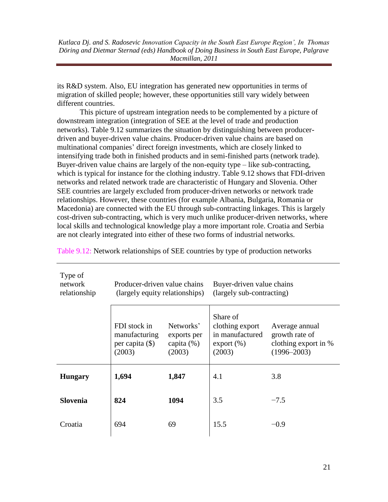its R&D system. Also, EU integration has generated new opportunities in terms of migration of skilled people; however, these opportunities still vary widely between different countries.

This picture of upstream integration needs to be complemented by a picture of downstream integration (integration of SEE at the level of trade and production networks). Table 9.12 summarizes the situation by distinguishing between producerdriven and buyer-driven value chains. Producer-driven value chains are based on multinational companies' direct foreign investments, which are closely linked to intensifying trade both in finished products and in semi-finished parts (network trade). Buyer-driven value chains are largely of the non-equity type – like sub-contracting, which is typical for instance for the clothing industry. Table 9.12 shows that FDI-driven networks and related network trade are characteristic of Hungary and Slovenia. Other SEE countries are largely excluded from producer-driven networks or network trade relationships. However, these countries (for example Albania, Bulgaria, Romania or Macedonia) are connected with the EU through sub-contracting linkages. This is largely cost-driven sub-contracting, which is very much unlike producer-driven networks, where local skills and technological knowledge play a more important role. Croatia and Serbia are not clearly integrated into either of these two forms of industrial networks.

| Type of<br>network<br>relationship | Producer-driven value chains<br>(largely equity relationships) |                                                     | Buyer-driven value chains<br>(largely sub-contracting)                          |                                                                             |
|------------------------------------|----------------------------------------------------------------|-----------------------------------------------------|---------------------------------------------------------------------------------|-----------------------------------------------------------------------------|
|                                    | FDI stock in<br>manufacturing<br>per capita $(\$)$<br>(2003)   | Networks'<br>exports per<br>capita $(\%)$<br>(2003) | Share of<br>clothing export<br>in manufactured<br>$\text{export}(\%)$<br>(2003) | Average annual<br>growth rate of<br>clothing export in %<br>$(1996 - 2003)$ |
| <b>Hungary</b>                     | 1,694                                                          | 1,847                                               | 4.1                                                                             | 3.8                                                                         |
| <b>Slovenia</b>                    | 824                                                            | 1094                                                | 3.5                                                                             | $-7.5$                                                                      |
| Croatia                            | 694                                                            | 69                                                  | 15.5                                                                            | $-0.9$                                                                      |

Table 9.12: Network relationships of SEE countries by type of production networks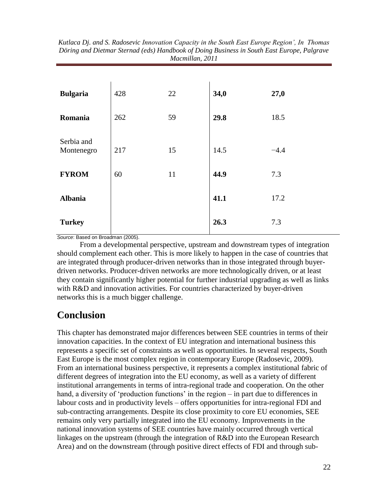| <b>Bulgaria</b>          | 428 | 22 | 34,0 | 27,0   |
|--------------------------|-----|----|------|--------|
| Romania                  | 262 | 59 | 29.8 | 18.5   |
| Serbia and<br>Montenegro | 217 | 15 | 14.5 | $-4.4$ |
| <b>FYROM</b>             | 60  | 11 | 44.9 | 7.3    |
| <b>Albania</b>           |     |    | 41.1 | 17.2   |
| <b>Turkey</b>            |     |    | 26.3 | 7.3    |

*Kutlaca Dj. and S. Radosevic Innovation Capacity in the South East Europe Region', In Thomas Döring and Dietmar Sternad (eds) Handbook of Doing Business in South East Europe, Palgrave Macmillan, 2011*

*Source*: Based on Broadman (2005).

From a developmental perspective, upstream and downstream types of integration should complement each other. This is more likely to happen in the case of countries that are integrated through producer-driven networks than in those integrated through buyerdriven networks. Producer-driven networks are more technologically driven, or at least they contain significantly higher potential for further industrial upgrading as well as links with R&D and innovation activities. For countries characterized by buyer-driven networks this is a much bigger challenge.

### **Conclusion**

This chapter has demonstrated major differences between SEE countries in terms of their innovation capacities. In the context of EU integration and international business this represents a specific set of constraints as well as opportunities. In several respects, South East Europe is the most complex region in contemporary Europe (Radosevic, 2009). From an international business perspective, it represents a complex institutional fabric of different degrees of integration into the EU economy, as well as a variety of different institutional arrangements in terms of intra-regional trade and cooperation. On the other hand, a diversity of 'production functions' in the region – in part due to differences in labour costs and in productivity levels – offers opportunities for intra-regional FDI and sub-contracting arrangements. Despite its close proximity to core EU economies, SEE remains only very partially integrated into the EU economy. Improvements in the national innovation systems of SEE countries have mainly occurred through vertical linkages on the upstream (through the integration of R&D into the European Research Area) and on the downstream (through positive direct effects of FDI and through sub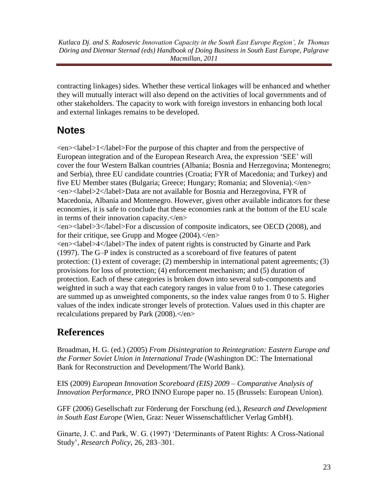contracting linkages) sides. Whether these vertical linkages will be enhanced and whether they will mutually interact will also depend on the activities of local governments and of other stakeholders. The capacity to work with foreign investors in enhancing both local and external linkages remains to be developed.

## **Notes**

<en><label>1</label>For the purpose of this chapter and from the perspective of European integration and of the European Research Area, the expression 'SEE' will cover the four Western Balkan countries (Albania; Bosnia and Herzegovina; Montenegro; and Serbia), three EU candidate countries (Croatia; FYR of Macedonia; and Turkey) and five EU Member states (Bulgaria; Greece; Hungary; Romania; and Slovenia).</en> <en><label>2</label>Data are not available for Bosnia and Herzegovina, FYR of Macedonia, Albania and Montenegro. However, given other available indicators for these economies, it is safe to conclude that these economies rank at the bottom of the EU scale in terms of their innovation capacity.</en>

<en><label>3</label>For a discussion of composite indicators, see OECD (2008), and for their critique, see Grupp and Mogee (2004).</en>

<en><label>4</label>The index of patent rights is constructed by Ginarte and Park (1997). The G–P index is constructed as a scoreboard of five features of patent protection: (1) extent of coverage; (2) membership in international patent agreements; (3) provisions for loss of protection; (4) enforcement mechanism; and (5) duration of protection. Each of these categories is broken down into several sub-components and weighted in such a way that each category ranges in value from 0 to 1. These categories are summed up as unweighted components, so the index value ranges from 0 to 5. Higher values of the index indicate stronger levels of protection. Values used in this chapter are recalculations prepared by Park (2008). $\langle$ en>

## **References**

Broadman, H. G. (ed.) (2005) *From Disintegration to Reintegration: Eastern Europe and the Former Soviet Union in International Trade* (Washington DC: The International Bank for Reconstruction and Development/The World Bank).

EIS (2009) *European Innovation Scoreboard (EIS) 2009 – Comparative Analysis of Innovation Performance*, PRO INNO Europe paper no. 15 (Brussels: European Union).

GFF (2006) Gesellschaft zur Förderung der Forschung (ed.), *Research and Development in South East Europe* (Wien, Graz: Neuer Wissenschaftlicher Verlag GmbH).

Ginarte, J. C. and Park, W. G. (1997) 'Determinants of Patent Rights: A Cross-National Study', *Research Policy*, 26, 283–301.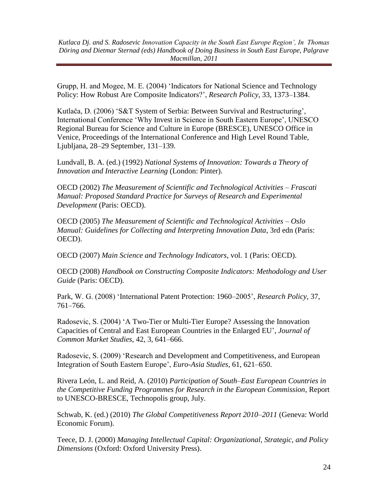Grupp, H. and Mogee, M. E. (2004) 'Indicators for National Science and Technology Policy: How Robust Are Composite Indicators?', *Research Policy*, 33, 1373–1384.

Kutlača, D. (2006) 'S&T System of Serbia: Between Survival and Restructuring', International Conference 'Why Invest in Science in South Eastern Europe', UNESCO Regional Bureau for Science and Culture in Europe (BRESCE), UNESCO Office in Venice, Proceedings of the International Conference and High Level Round Table, Ljubljana, 28–29 September, 131–139.

Lundvall, B. A. (ed.) (1992) *National Systems of Innovation: Towards a Theory of Innovation and Interactive Learning* (London: Pinter).

OECD (2002) *The Measurement of Scientific and Technological Activities – Frascati Manual: Proposed Standard Practice for Surveys of Research and Experimental Development* (Paris: OECD).

OECD (2005) *The Measurement of Scientific and Technological Activities – Oslo Manual: Guidelines for Collecting and Interpreting Innovation Data*, 3rd edn (Paris: OECD).

OECD (2007) *Main Science and Technology Indicators*, vol. 1 (Paris: OECD).

OECD (2008) *Handbook on Constructing Composite Indicators: Methodology and User Guide* (Paris: OECD).

Park, W. G. (2008) 'International Patent Protection: 1960–2005', *Research Policy*, 37, 761–766.

Radosevic, S. (2004) 'A Two-Tier or Multi-Tier Europe? Assessing the Innovation Capacities of Central and East European Countries in the Enlarged EU', *Journal of Common Market Studies*, 42, 3, 641–666.

Radosevic, S. (2009) 'Research and Development and Competitiveness, and European Integration of South Eastern Europe', *Euro-Asia Studies*, 61, 621–650.

Rivera León, L. and Reid, A. (2010) *Participation of South–East European Countries in the Competitive Funding Programmes for Research in the European Commission*, Report to UNESCO-BRESCE, Technopolis group, July.

Schwab, K. (ed.) (2010) *The Global Competitiveness Report 2010–2011* (Geneva: World Economic Forum).

Teece, D. J. (2000) *Managing Intellectual Capital: Organizational, Strategic, and Policy Dimensions* (Oxford: Oxford University Press).